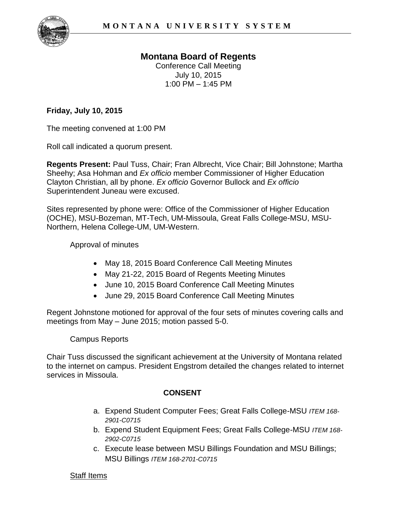

# **Montana Board of Regents**

Conference Call Meeting July 10, 2015  $1:00$  PM  $-1:45$  PM

### **Friday, July 10, 2015**

The meeting convened at 1:00 PM

Roll call indicated a quorum present.

**Regents Present:** Paul Tuss, Chair; Fran Albrecht, Vice Chair; Bill Johnstone; Martha Sheehy; Asa Hohman and *Ex officio* member Commissioner of Higher Education Clayton Christian, all by phone. *Ex officio* Governor Bullock and *Ex officio*  Superintendent Juneau were excused.

Sites represented by phone were: Office of the Commissioner of Higher Education (OCHE), MSU-Bozeman, MT-Tech, UM-Missoula, Great Falls College-MSU, MSU-Northern, Helena College-UM, UM-Western.

Approval of minutes

- May 18, 2015 Board Conference Call Meeting Minutes
- May 21-22, 2015 Board of Regents Meeting Minutes
- June 10, 2015 Board Conference Call Meeting Minutes
- June 29, 2015 Board Conference Call Meeting Minutes

Regent Johnstone motioned for approval of the four sets of minutes covering calls and meetings from May – June 2015; motion passed 5-0.

Campus Reports

Chair Tuss discussed the significant achievement at the University of Montana related to the internet on campus. President Engstrom detailed the changes related to internet services in Missoula.

## **CONSENT**

- a. Expend Student Computer Fees; Great Falls College-MSU *ITEM 168- 2901-C0715*
- b. Expend Student Equipment Fees; Great Falls College-MSU *ITEM 168- 2902-C0715*
- c. Execute lease between MSU Billings Foundation and MSU Billings; MSU Billings *ITEM 168-2701-C0715*

### Staff Items